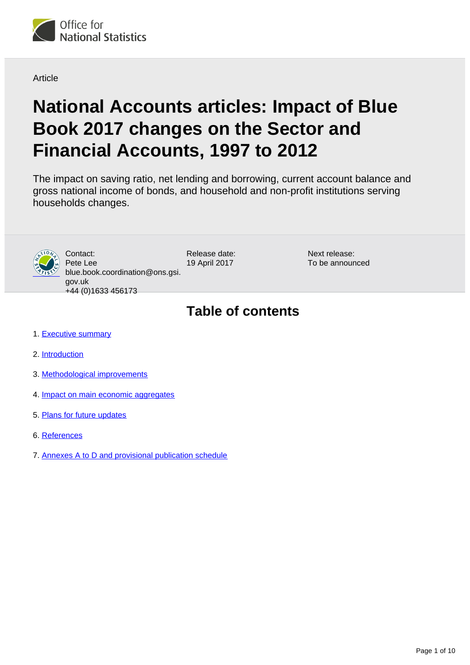

Article

# **National Accounts articles: Impact of Blue Book 2017 changes on the Sector and Financial Accounts, 1997 to 2012**

The impact on saving ratio, net lending and borrowing, current account balance and gross national income of bonds, and household and non-profit institutions serving households changes.



Contact: Pete Lee blue.book.coordination@ons.gsi. gov.uk +44 (0)1633 456173

Release date: 19 April 2017

Next release: To be announced

# **Table of contents**

- 1. [Executive summary](#page-1-0)
- 2. [Introduction](#page-1-1)
- 3. [Methodological improvements](#page-2-0)
- 4. [Impact on main economic aggregates](#page-4-0)
- 5. [Plans for future updates](#page-8-0)
- 6. [References](#page-8-1)
- 7. Annexes A to D and provisional publication schedule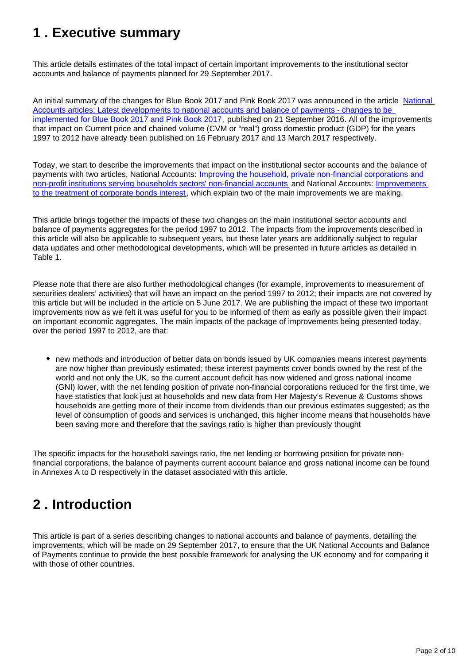### <span id="page-1-0"></span>**1 . Executive summary**

This article details estimates of the total impact of certain important improvements to the institutional sector accounts and balance of payments planned for 29 September 2017.

An initial summary of the changes for Blue Book 2017 and Pink Book 2017 was announced in the article [National](https://www.ons.gov.uk/economy/nationalaccounts/uksectoraccounts/articles/nationalaccountsarticles/latestdevelopmentstonationalaccountsandbalanceofpaymentschangestobeimplementedforbluebook2017andpinkbook2017)  [Accounts articles: Latest developments to national accounts and balance of payments - changes to be](https://www.ons.gov.uk/economy/nationalaccounts/uksectoraccounts/articles/nationalaccountsarticles/latestdevelopmentstonationalaccountsandbalanceofpaymentschangestobeimplementedforbluebook2017andpinkbook2017)  [implemented for Blue Book 2017 and Pink Book 2017](https://www.ons.gov.uk/economy/nationalaccounts/uksectoraccounts/articles/nationalaccountsarticles/latestdevelopmentstonationalaccountsandbalanceofpaymentschangestobeimplementedforbluebook2017andpinkbook2017), published on 21 September 2016. All of the improvements that impact on Current price and chained volume (CVM or "real") gross domestic product (GDP) for the years 1997 to 2012 have already been published on 16 February 2017 and 13 March 2017 respectively.

Today, we start to describe the improvements that impact on the institutional sector accounts and the balance of payments with two articles, National Accounts: [Improving the household, private non-financial corporations and](https://www.ons.gov.uk/releases/nationalaccountsarticlesnonprofitinstitutionsservinghouseholdsandhouseholdssectorisationsplit)  [non-profit institutions serving households sectors' non-financial accounts](https://www.ons.gov.uk/releases/nationalaccountsarticlesnonprofitinstitutionsservinghouseholdsandhouseholdssectorisationsplit) and National Accounts: [Improvements](https://www.ons.gov.uk/releases/nationalaccountsarticlesimprovementstothetreatmentofcorporatebondsinterest)  [to the treatment of corporate bonds interest](https://www.ons.gov.uk/releases/nationalaccountsarticlesimprovementstothetreatmentofcorporatebondsinterest), which explain two of the main improvements we are making.

This article brings together the impacts of these two changes on the main institutional sector accounts and balance of payments aggregates for the period 1997 to 2012. The impacts from the improvements described in this article will also be applicable to subsequent years, but these later years are additionally subject to regular data updates and other methodological developments, which will be presented in future articles as detailed in Table 1.

Please note that there are also further methodological changes (for example, improvements to measurement of securities dealers' activities) that will have an impact on the period 1997 to 2012; their impacts are not covered by this article but will be included in the article on 5 June 2017. We are publishing the impact of these two important improvements now as we felt it was useful for you to be informed of them as early as possible given their impact on important economic aggregates. The main impacts of the package of improvements being presented today, over the period 1997 to 2012, are that:

new methods and introduction of better data on bonds issued by UK companies means interest payments are now higher than previously estimated; these interest payments cover bonds owned by the rest of the world and not only the UK, so the current account deficit has now widened and gross national income (GNI) lower, with the net lending position of private non-financial corporations reduced for the first time, we have statistics that look just at households and new data from Her Majesty's Revenue & Customs shows households are getting more of their income from dividends than our previous estimates suggested; as the level of consumption of goods and services is unchanged, this higher income means that households have been saving more and therefore that the savings ratio is higher than previously thought

The specific impacts for the household savings ratio, the net lending or borrowing position for private nonfinancial corporations, the balance of payments current account balance and gross national income can be found in Annexes A to D respectively in the dataset associated with this article.

### <span id="page-1-1"></span>**2 . Introduction**

This article is part of a series describing changes to national accounts and balance of payments, detailing the improvements, which will be made on 29 September 2017, to ensure that the UK National Accounts and Balance of Payments continue to provide the best possible framework for analysing the UK economy and for comparing it with those of other countries.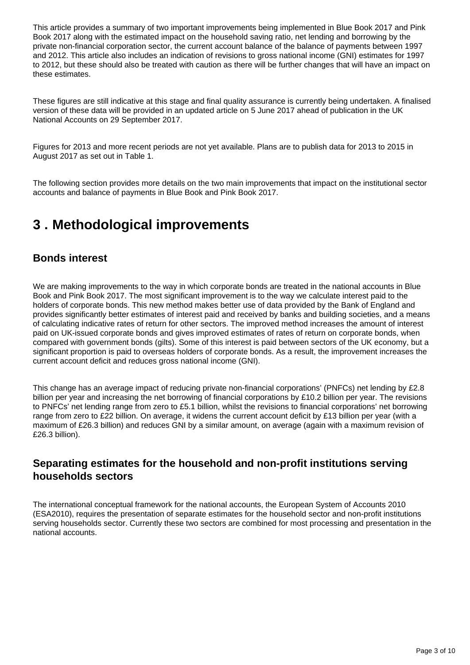This article provides a summary of two important improvements being implemented in Blue Book 2017 and Pink Book 2017 along with the estimated impact on the household saving ratio, net lending and borrowing by the private non-financial corporation sector, the current account balance of the balance of payments between 1997 and 2012. This article also includes an indication of revisions to gross national income (GNI) estimates for 1997 to 2012, but these should also be treated with caution as there will be further changes that will have an impact on these estimates.

These figures are still indicative at this stage and final quality assurance is currently being undertaken. A finalised version of these data will be provided in an updated article on 5 June 2017 ahead of publication in the UK National Accounts on 29 September 2017.

Figures for 2013 and more recent periods are not yet available. Plans are to publish data for 2013 to 2015 in August 2017 as set out in Table 1.

The following section provides more details on the two main improvements that impact on the institutional sector accounts and balance of payments in Blue Book and Pink Book 2017.

### <span id="page-2-0"></span>**3 . Methodological improvements**

### **Bonds interest**

We are making improvements to the way in which corporate bonds are treated in the national accounts in Blue Book and Pink Book 2017. The most significant improvement is to the way we calculate interest paid to the holders of corporate bonds. This new method makes better use of data provided by the Bank of England and provides significantly better estimates of interest paid and received by banks and building societies, and a means of calculating indicative rates of return for other sectors. The improved method increases the amount of interest paid on UK-issued corporate bonds and gives improved estimates of rates of return on corporate bonds, when compared with government bonds (gilts). Some of this interest is paid between sectors of the UK economy, but a significant proportion is paid to overseas holders of corporate bonds. As a result, the improvement increases the current account deficit and reduces gross national income (GNI).

This change has an average impact of reducing private non-financial corporations' (PNFCs) net lending by £2.8 billion per year and increasing the net borrowing of financial corporations by £10.2 billion per year. The revisions to PNFCs' net lending range from zero to £5.1 billion, whilst the revisions to financial corporations' net borrowing range from zero to £22 billion. On average, it widens the current account deficit by £13 billion per year (with a maximum of £26.3 billion) and reduces GNI by a similar amount, on average (again with a maximum revision of £26.3 billion).

### **Separating estimates for the household and non-profit institutions serving households sectors**

The international conceptual framework for the national accounts, the European System of Accounts 2010 (ESA2010), requires the presentation of separate estimates for the household sector and non-profit institutions serving households sector. Currently these two sectors are combined for most processing and presentation in the national accounts.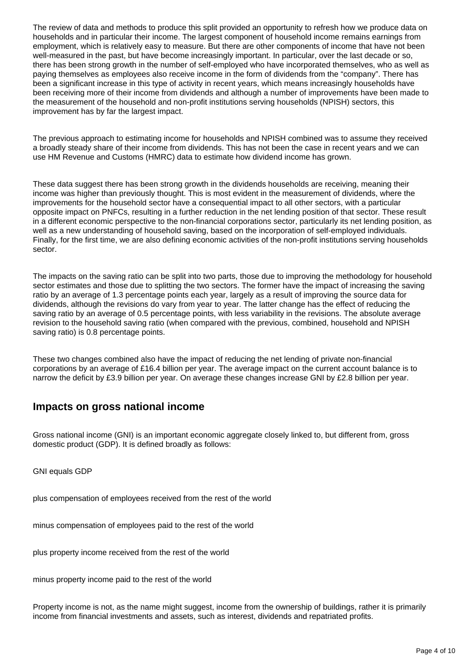The review of data and methods to produce this split provided an opportunity to refresh how we produce data on households and in particular their income. The largest component of household income remains earnings from employment, which is relatively easy to measure. But there are other components of income that have not been well-measured in the past, but have become increasingly important. In particular, over the last decade or so, there has been strong growth in the number of self-employed who have incorporated themselves, who as well as paying themselves as employees also receive income in the form of dividends from the "company". There has been a significant increase in this type of activity in recent years, which means increasingly households have been receiving more of their income from dividends and although a number of improvements have been made to the measurement of the household and non-profit institutions serving households (NPISH) sectors, this improvement has by far the largest impact.

The previous approach to estimating income for households and NPISH combined was to assume they received a broadly steady share of their income from dividends. This has not been the case in recent years and we can use HM Revenue and Customs (HMRC) data to estimate how dividend income has grown.

These data suggest there has been strong growth in the dividends households are receiving, meaning their income was higher than previously thought. This is most evident in the measurement of dividends, where the improvements for the household sector have a consequential impact to all other sectors, with a particular opposite impact on PNFCs, resulting in a further reduction in the net lending position of that sector. These result in a different economic perspective to the non-financial corporations sector, particularly its net lending position, as well as a new understanding of household saving, based on the incorporation of self-employed individuals. Finally, for the first time, we are also defining economic activities of the non-profit institutions serving households sector.

The impacts on the saving ratio can be split into two parts, those due to improving the methodology for household sector estimates and those due to splitting the two sectors. The former have the impact of increasing the saving ratio by an average of 1.3 percentage points each year, largely as a result of improving the source data for dividends, although the revisions do vary from year to year. The latter change has the effect of reducing the saving ratio by an average of 0.5 percentage points, with less variability in the revisions. The absolute average revision to the household saving ratio (when compared with the previous, combined, household and NPISH saving ratio) is 0.8 percentage points.

These two changes combined also have the impact of reducing the net lending of private non-financial corporations by an average of £16.4 billion per year. The average impact on the current account balance is to narrow the deficit by £3.9 billion per year. On average these changes increase GNI by £2.8 billion per year.

### **Impacts on gross national income**

Gross national income (GNI) is an important economic aggregate closely linked to, but different from, gross domestic product (GDP). It is defined broadly as follows:

GNI equals GDP

plus compensation of employees received from the rest of the world

minus compensation of employees paid to the rest of the world

plus property income received from the rest of the world

minus property income paid to the rest of the world

Property income is not, as the name might suggest, income from the ownership of buildings, rather it is primarily income from financial investments and assets, such as interest, dividends and repatriated profits.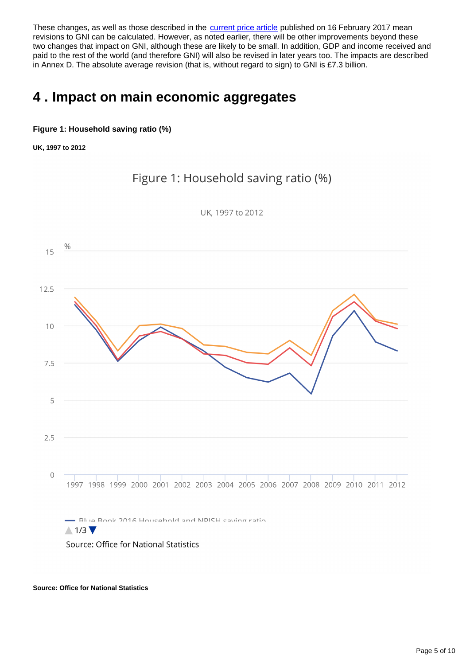These changes, as well as those described in the [current price article](https://www.ons.gov.uk/releases/nationalaccountsimpactofbluebook2017changesongdpcurrentpricesannualestimates1997to2012) published on 16 February 2017 mean revisions to GNI can be calculated. However, as noted earlier, there will be other improvements beyond these two changes that impact on GNI, although these are likely to be small. In addition, GDP and income received and paid to the rest of the world (and therefore GNI) will also be revised in later years too. The impacts are described in Annex D. The absolute average revision (that is, without regard to sign) to GNI is £7.3 billion.

### <span id="page-4-0"></span>**4 . Impact on main economic aggregates**

#### **Figure 1: Household saving ratio (%)**

**UK, 1997 to 2012**

Figure 1: Household saving ratio (%)



UK. 1997 to 2012

**Source: Office for National Statistics**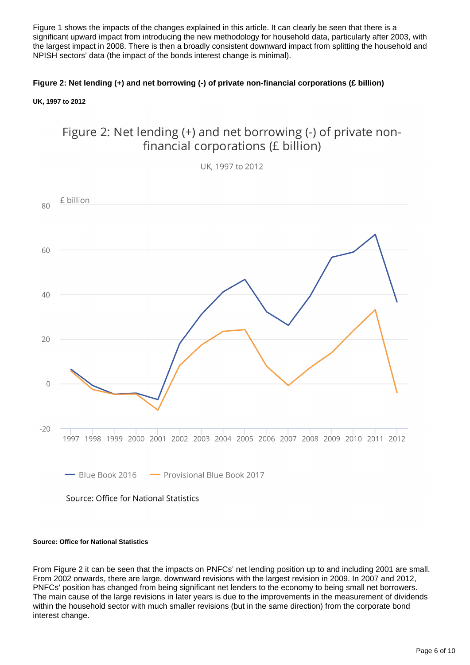Figure 1 shows the impacts of the changes explained in this article. It can clearly be seen that there is a significant upward impact from introducing the new methodology for household data, particularly after 2003, with the largest impact in 2008. There is then a broadly consistent downward impact from splitting the household and NPISH sectors' data (the impact of the bonds interest change is minimal).

#### **Figure 2: Net lending (+) and net borrowing (-) of private non-financial corporations (£ billion)**

**UK, 1997 to 2012**





UK, 1997 to 2012

#### **Source: Office for National Statistics**

From Figure 2 it can be seen that the impacts on PNFCs' net lending position up to and including 2001 are small. From 2002 onwards, there are large, downward revisions with the largest revision in 2009. In 2007 and 2012, PNFCs' position has changed from being significant net lenders to the economy to being small net borrowers. The main cause of the large revisions in later years is due to the improvements in the measurement of dividends within the household sector with much smaller revisions (but in the same direction) from the corporate bond interest change.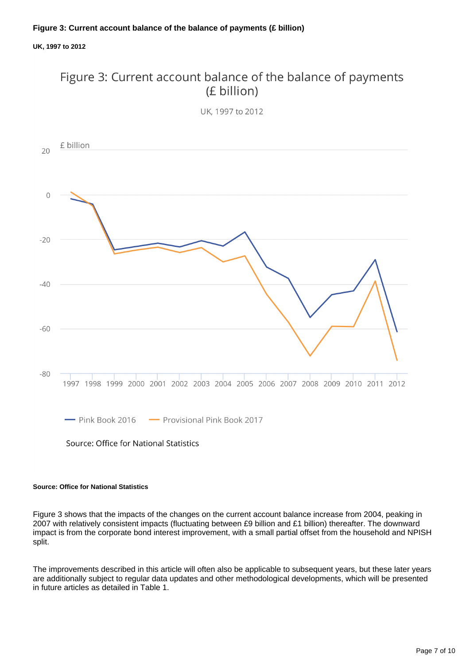#### **UK, 1997 to 2012**

### Figure 3: Current account balance of the balance of payments (£ billion)





#### **Source: Office for National Statistics**

Figure 3 shows that the impacts of the changes on the current account balance increase from 2004, peaking in 2007 with relatively consistent impacts (fluctuating between £9 billion and £1 billion) thereafter. The downward impact is from the corporate bond interest improvement, with a small partial offset from the household and NPISH split.

The improvements described in this article will often also be applicable to subsequent years, but these later years are additionally subject to regular data updates and other methodological developments, which will be presented in future articles as detailed in Table 1.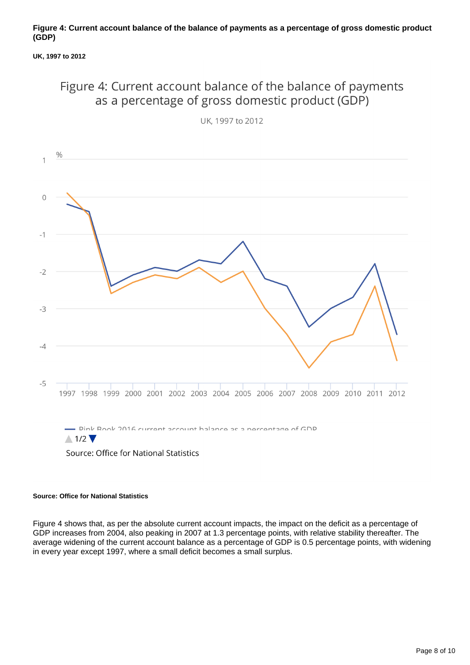#### **Figure 4: Current account balance of the balance of payments as a percentage of gross domestic product (GDP)**

#### **UK, 1997 to 2012**

### Figure 4: Current account balance of the balance of payments as a percentage of gross domestic product (GDP)



UK, 1997 to 2012

#### **Source: Office for National Statistics**

Figure 4 shows that, as per the absolute current account impacts, the impact on the deficit as a percentage of GDP increases from 2004, also peaking in 2007 at 1.3 percentage points, with relative stability thereafter. The average widening of the current account balance as a percentage of GDP is 0.5 percentage points, with widening in every year except 1997, where a small deficit becomes a small surplus.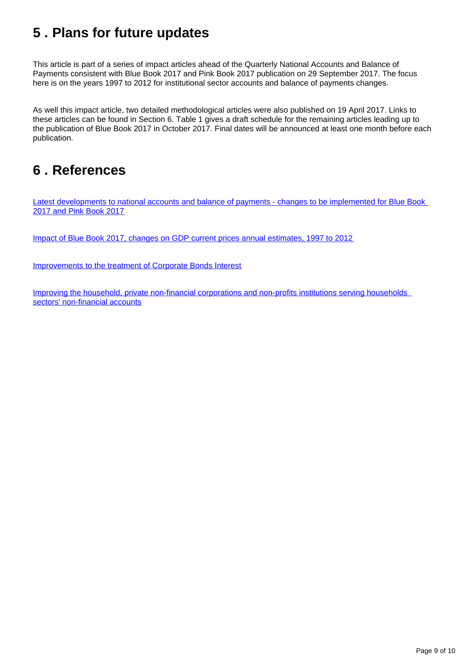# <span id="page-8-0"></span>**5 . Plans for future updates**

This article is part of a series of impact articles ahead of the Quarterly National Accounts and Balance of Payments consistent with Blue Book 2017 and Pink Book 2017 publication on 29 September 2017. The focus here is on the years 1997 to 2012 for institutional sector accounts and balance of payments changes.

As well this impact article, two detailed methodological articles were also published on 19 April 2017. Links to these articles can be found in Section 6. Table 1 gives a draft schedule for the remaining articles leading up to the publication of Blue Book 2017 in October 2017. Final dates will be announced at least one month before each publication.

### <span id="page-8-1"></span>**6 . References**

[Latest developments to national accounts and balance of payments - changes to be implemented for Blue Book](https://www.ons.gov.uk/economy/nationalaccounts/uksectoraccounts/articles/nationalaccountsarticles/latestdevelopmentstonationalaccountsandbalanceofpaymentschangestobeimplementedforbluebook2017andpinkbook2017)  [2017 and Pink Book 2017](https://www.ons.gov.uk/economy/nationalaccounts/uksectoraccounts/articles/nationalaccountsarticles/latestdevelopmentstonationalaccountsandbalanceofpaymentschangestobeimplementedforbluebook2017andpinkbook2017)

[Impact of Blue Book 2017, changes on GDP current prices annual estimates, 1997 to 2012](https://www.ons.gov.uk/releases/nationalaccountsimpactofbluebook2017changesongdpcurrentpricesannualestimates1997to2012)

[Improvements to the treatment of Corporate Bonds Interest](https://www.ons.gov.uk/economy/nationalaccounts/uksectoraccounts/articles/nationalaccountsarticles/improvementstothetreatmentofcorporatebondsinterest)

[Improving the household, private non-financial corporations and non-profits institutions serving households](https://www.ons.gov.uk/economy/nationalaccounts/uksectoraccounts/articles/nationalaccountsarticles/improvingthehouseholdprivatenonfinancialcorporationsandnonprofitsinstitutionsservinghouseholdssectorsnonfinancialaccounts)  [sectors' non-financial accounts](https://www.ons.gov.uk/economy/nationalaccounts/uksectoraccounts/articles/nationalaccountsarticles/improvingthehouseholdprivatenonfinancialcorporationsandnonprofitsinstitutionsservinghouseholdssectorsnonfinancialaccounts)